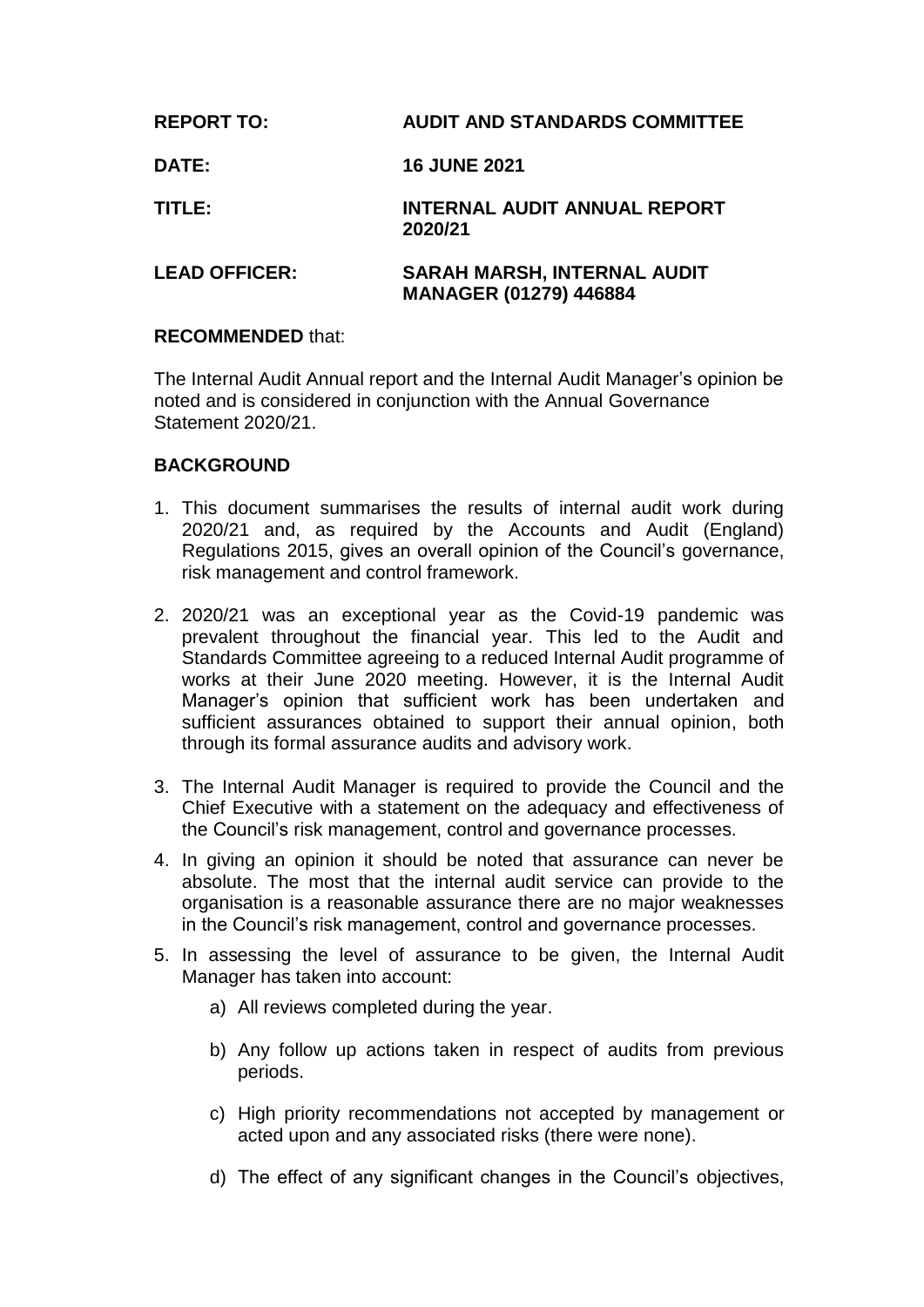| <b>REPORT TO:</b>    | <b>AUDIT AND STANDARDS COMMITTEE</b>                                |
|----------------------|---------------------------------------------------------------------|
| <b>DATE:</b>         | <b>16 JUNE 2021</b>                                                 |
| TITLE:               | <b>INTERNAL AUDIT ANNUAL REPORT</b><br>2020/21                      |
| <b>LEAD OFFICER:</b> | <b>SARAH MARSH, INTERNAL AUDIT</b><br><b>MANAGER (01279) 446884</b> |

# **RECOMMENDED** that:

The Internal Audit Annual report and the Internal Audit Manager's opinion be noted and is considered in conjunction with the Annual Governance Statement 2020/21.

# **BACKGROUND**

- 1. This document summarises the results of internal audit work during 2020/21 and, as required by the Accounts and Audit (England) Regulations 2015, gives an overall opinion of the Council's governance, risk management and control framework.
- 2. 2020/21 was an exceptional year as the Covid-19 pandemic was prevalent throughout the financial year. This led to the Audit and Standards Committee agreeing to a reduced Internal Audit programme of works at their June 2020 meeting. However, it is the Internal Audit Manager's opinion that sufficient work has been undertaken and sufficient assurances obtained to support their annual opinion, both through its formal assurance audits and advisory work.
- 3. The Internal Audit Manager is required to provide the Council and the Chief Executive with a statement on the adequacy and effectiveness of the Council's risk management, control and governance processes.
- 4. In giving an opinion it should be noted that assurance can never be absolute. The most that the internal audit service can provide to the organisation is a reasonable assurance there are no major weaknesses in the Council's risk management, control and governance processes.
- 5. In assessing the level of assurance to be given, the Internal Audit Manager has taken into account:
	- a) All reviews completed during the year.
	- b) Any follow up actions taken in respect of audits from previous periods.
	- c) High priority recommendations not accepted by management or acted upon and any associated risks (there were none).
	- d) The effect of any significant changes in the Council's objectives,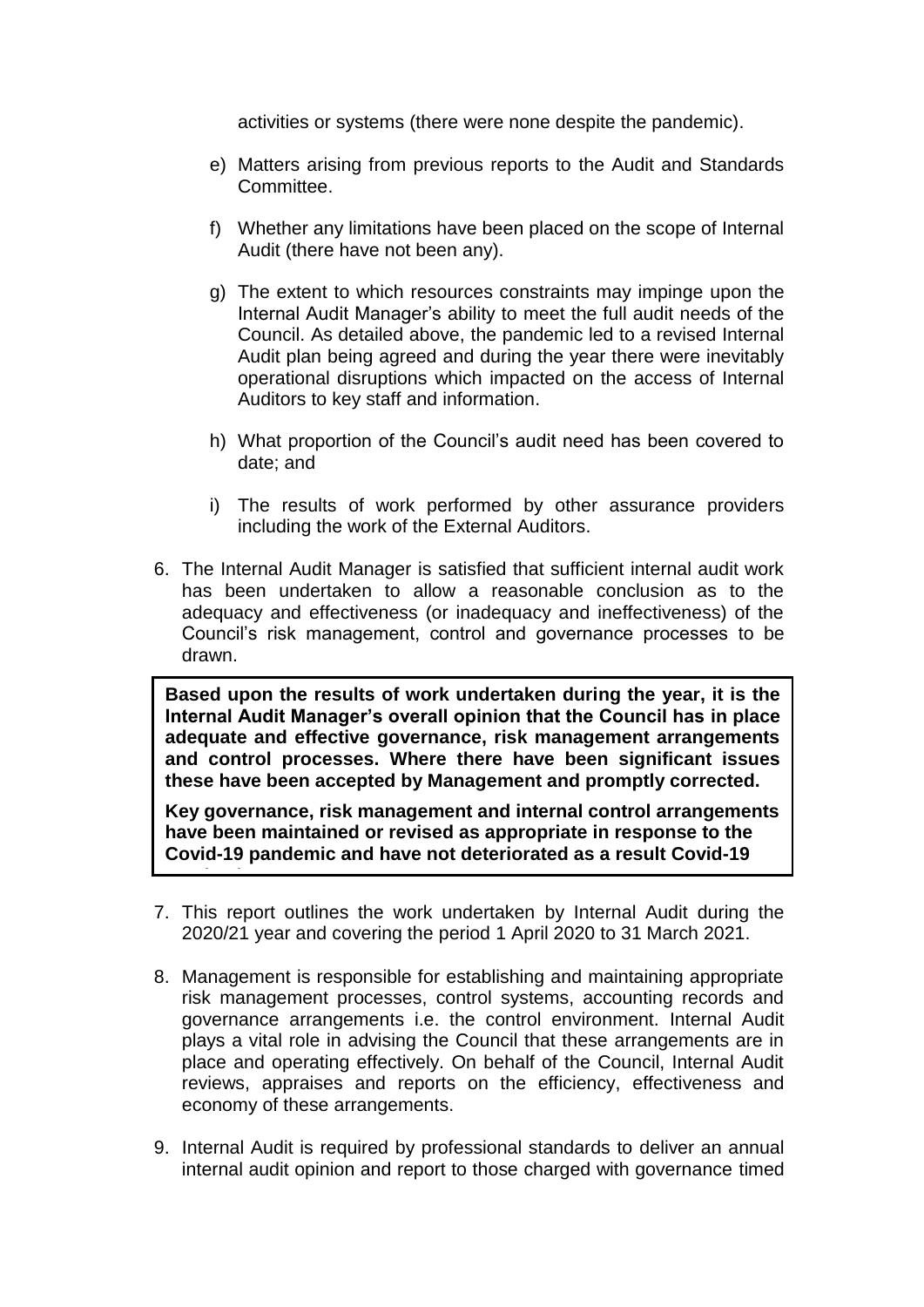activities or systems (there were none despite the pandemic).

- e) Matters arising from previous reports to the Audit and Standards Committee.
- f) Whether any limitations have been placed on the scope of Internal Audit (there have not been any).
- g) The extent to which resources constraints may impinge upon the Internal Audit Manager's ability to meet the full audit needs of the Council. As detailed above, the pandemic led to a revised Internal Audit plan being agreed and during the year there were inevitably operational disruptions which impacted on the access of Internal Auditors to key staff and information.
- h) What proportion of the Council's audit need has been covered to date; and
- i) The results of work performed by other assurance providers including the work of the External Auditors.
- 6. The Internal Audit Manager is satisfied that sufficient internal audit work has been undertaken to allow a reasonable conclusion as to the adequacy and effectiveness (or inadequacy and ineffectiveness) of the Council's risk management, control and governance processes to be drawn.

**Based upon the results of work undertaken during the year, it is the Internal Audit Manager's overall opinion that the Council has in place adequate and effective governance, risk management arrangements and control processes. Where there have been significant issues these have been accepted by Management and promptly corrected.**

**Key governance, risk management and internal control arrangements have been maintained or revised as appropriate in response to the Covid-19 pandemic and have not deteriorated as a result Covid-19** 

7. This report outlines the work undertaken by Internal Audit during the 2020/21 year and covering the period 1 April 2020 to 31 March 2021.

**pandemic.**<br>Pandemic

- 8. Management is responsible for establishing and maintaining appropriate risk management processes, control systems, accounting records and governance arrangements i.e. the control environment. Internal Audit plays a vital role in advising the Council that these arrangements are in place and operating effectively. On behalf of the Council, Internal Audit reviews, appraises and reports on the efficiency, effectiveness and economy of these arrangements.
- 9. Internal Audit is required by professional standards to deliver an annual internal audit opinion and report to those charged with governance timed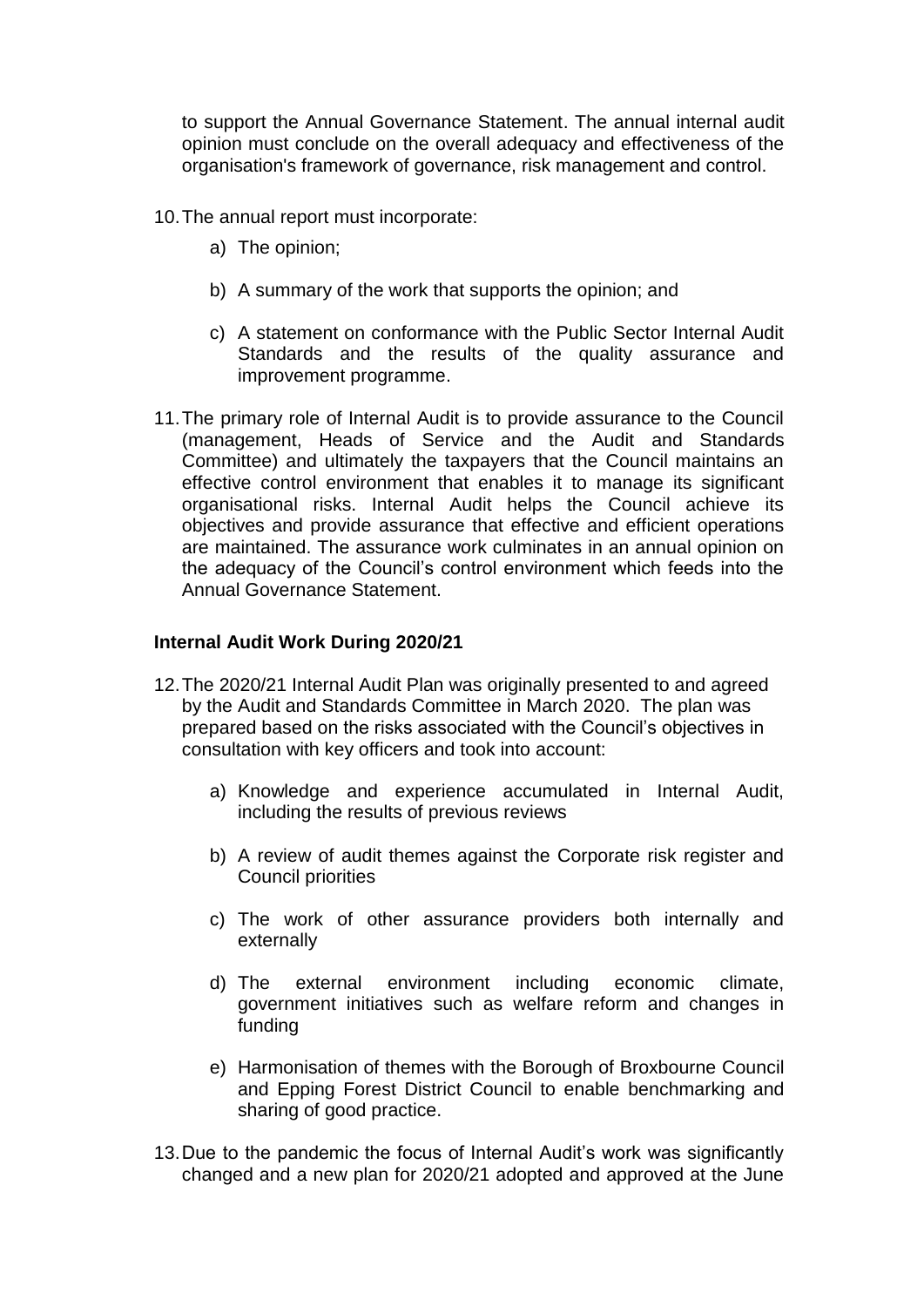to support the Annual Governance Statement. The annual internal audit opinion must conclude on the overall adequacy and effectiveness of the organisation's framework of governance, risk management and control.

- 10.The annual report must incorporate:
	- a) The opinion;
	- b) A summary of the work that supports the opinion; and
	- c) A statement on conformance with the Public Sector Internal Audit Standards and the results of the quality assurance and improvement programme.
- 11.The primary role of Internal Audit is to provide assurance to the Council (management, Heads of Service and the Audit and Standards Committee) and ultimately the taxpayers that the Council maintains an effective control environment that enables it to manage its significant organisational risks. Internal Audit helps the Council achieve its objectives and provide assurance that effective and efficient operations are maintained. The assurance work culminates in an annual opinion on the adequacy of the Council's control environment which feeds into the Annual Governance Statement.

## **Internal Audit Work During 2020/21**

- 12.The 2020/21 Internal Audit Plan was originally presented to and agreed by the Audit and Standards Committee in March 2020. The plan was prepared based on the risks associated with the Council's objectives in consultation with key officers and took into account:
	- a) Knowledge and experience accumulated in Internal Audit, including the results of previous reviews
	- b) A review of audit themes against the Corporate risk register and Council priorities
	- c) The work of other assurance providers both internally and externally
	- d) The external environment including economic climate, government initiatives such as welfare reform and changes in funding
	- e) Harmonisation of themes with the Borough of Broxbourne Council and Epping Forest District Council to enable benchmarking and sharing of good practice.
- 13.Due to the pandemic the focus of Internal Audit's work was significantly changed and a new plan for 2020/21 adopted and approved at the June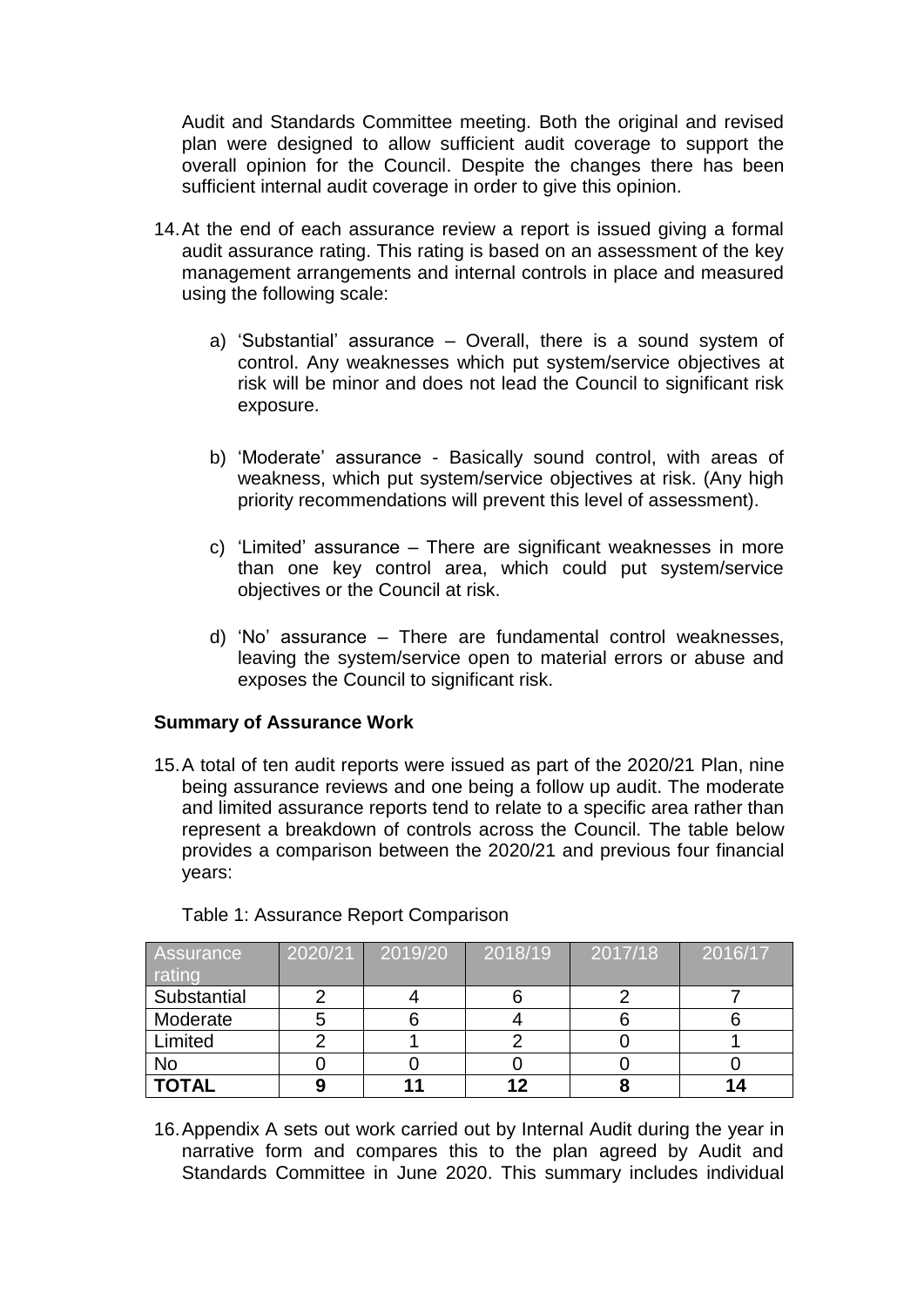Audit and Standards Committee meeting. Both the original and revised plan were designed to allow sufficient audit coverage to support the overall opinion for the Council. Despite the changes there has been sufficient internal audit coverage in order to give this opinion.

- 14.At the end of each assurance review a report is issued giving a formal audit assurance rating. This rating is based on an assessment of the key management arrangements and internal controls in place and measured using the following scale:
	- a) 'Substantial' assurance Overall, there is a sound system of control. Any weaknesses which put system/service objectives at risk will be minor and does not lead the Council to significant risk exposure.
	- b) 'Moderate' assurance Basically sound control, with areas of weakness, which put system/service objectives at risk. (Any high priority recommendations will prevent this level of assessment).
	- c) 'Limited' assurance There are significant weaknesses in more than one key control area, which could put system/service objectives or the Council at risk.
	- d) 'No' assurance There are fundamental control weaknesses, leaving the system/service open to material errors or abuse and exposes the Council to significant risk.

## **Summary of Assurance Work**

15.A total of ten audit reports were issued as part of the 2020/21 Plan, nine being assurance reviews and one being a follow up audit. The moderate and limited assurance reports tend to relate to a specific area rather than represent a breakdown of controls across the Council. The table below provides a comparison between the 2020/21 and previous four financial years:

| <b>Assurance</b><br>rating | 2020/21 | 2019/20 | 2018/19 | 2017/18 | 2016/17 |
|----------------------------|---------|---------|---------|---------|---------|
| Substantial                |         |         |         |         |         |
| Moderate                   |         |         |         |         |         |
| Limited                    |         |         |         |         |         |
| No                         |         |         |         |         |         |
| <b>TOTAL</b>               |         |         |         |         |         |

Table 1: Assurance Report Comparison

16.Appendix A sets out work carried out by Internal Audit during the year in narrative form and compares this to the plan agreed by Audit and Standards Committee in June 2020. This summary includes individual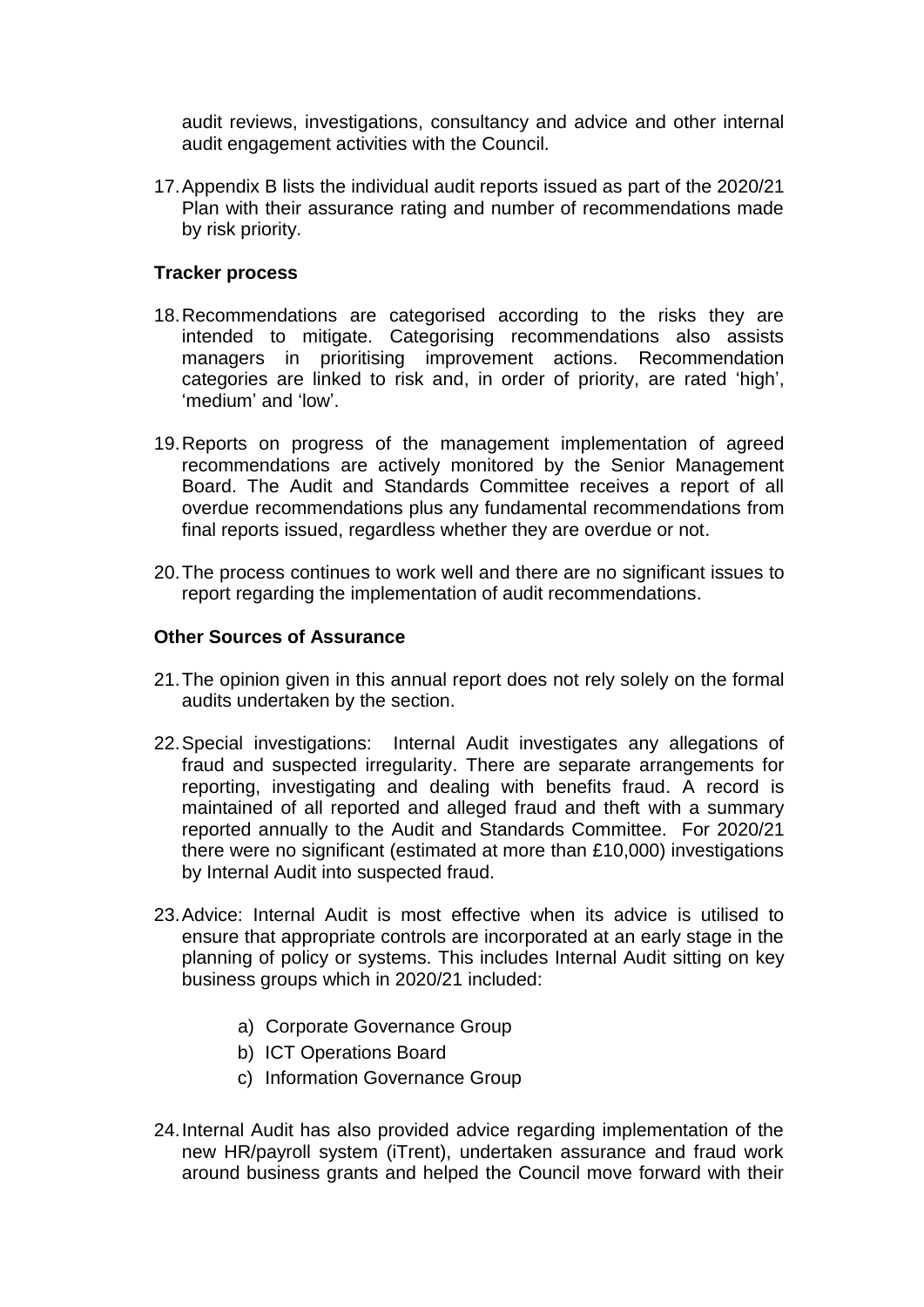audit reviews, investigations, consultancy and advice and other internal audit engagement activities with the Council.

17.Appendix B lists the individual audit reports issued as part of the 2020/21 Plan with their assurance rating and number of recommendations made by risk priority.

## **Tracker process**

- 18.Recommendations are categorised according to the risks they are intended to mitigate. Categorising recommendations also assists managers in prioritising improvement actions. Recommendation categories are linked to risk and, in order of priority, are rated 'high', 'medium' and 'low'.
- 19.Reports on progress of the management implementation of agreed recommendations are actively monitored by the Senior Management Board. The Audit and Standards Committee receives a report of all overdue recommendations plus any fundamental recommendations from final reports issued, regardless whether they are overdue or not.
- 20.The process continues to work well and there are no significant issues to report regarding the implementation of audit recommendations.

## **Other Sources of Assurance**

- 21.The opinion given in this annual report does not rely solely on the formal audits undertaken by the section.
- 22.Special investigations: Internal Audit investigates any allegations of fraud and suspected irregularity. There are separate arrangements for reporting, investigating and dealing with benefits fraud. A record is maintained of all reported and alleged fraud and theft with a summary reported annually to the Audit and Standards Committee. For 2020/21 there were no significant (estimated at more than £10,000) investigations by Internal Audit into suspected fraud.
- 23.Advice: Internal Audit is most effective when its advice is utilised to ensure that appropriate controls are incorporated at an early stage in the planning of policy or systems. This includes Internal Audit sitting on key business groups which in 2020/21 included:
	- a) Corporate Governance Group
	- b) ICT Operations Board
	- c) Information Governance Group
- 24.Internal Audit has also provided advice regarding implementation of the new HR/payroll system (iTrent), undertaken assurance and fraud work around business grants and helped the Council move forward with their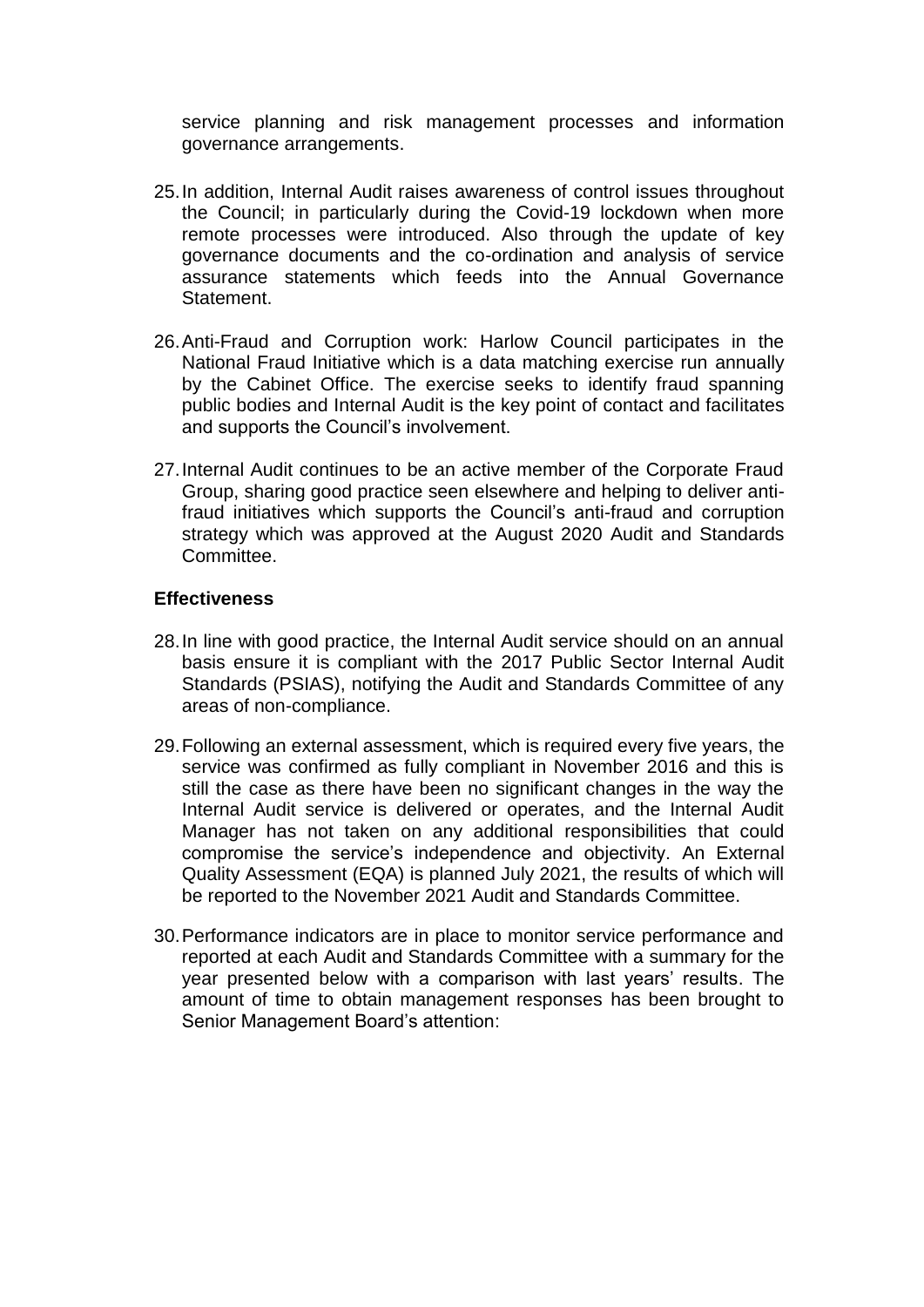service planning and risk management processes and information governance arrangements.

- 25.In addition, Internal Audit raises awareness of control issues throughout the Council; in particularly during the Covid-19 lockdown when more remote processes were introduced. Also through the update of key governance documents and the co-ordination and analysis of service assurance statements which feeds into the Annual Governance Statement.
- 26.Anti-Fraud and Corruption work: Harlow Council participates in the National Fraud Initiative which is a data matching exercise run annually by the Cabinet Office. The exercise seeks to identify fraud spanning public bodies and Internal Audit is the key point of contact and facilitates and supports the Council's involvement.
- 27.Internal Audit continues to be an active member of the Corporate Fraud Group, sharing good practice seen elsewhere and helping to deliver antifraud initiatives which supports the Council's anti-fraud and corruption strategy which was approved at the August 2020 Audit and Standards Committee.

## **Effectiveness**

- 28.In line with good practice, the Internal Audit service should on an annual basis ensure it is compliant with the 2017 Public Sector Internal Audit Standards (PSIAS), notifying the Audit and Standards Committee of any areas of non-compliance.
- 29.Following an external assessment, which is required every five years, the service was confirmed as fully compliant in November 2016 and this is still the case as there have been no significant changes in the way the Internal Audit service is delivered or operates, and the Internal Audit Manager has not taken on any additional responsibilities that could compromise the service's independence and objectivity. An External Quality Assessment (EQA) is planned July 2021, the results of which will be reported to the November 2021 Audit and Standards Committee.
- 30.Performance indicators are in place to monitor service performance and reported at each Audit and Standards Committee with a summary for the year presented below with a comparison with last years' results. The amount of time to obtain management responses has been brought to Senior Management Board's attention: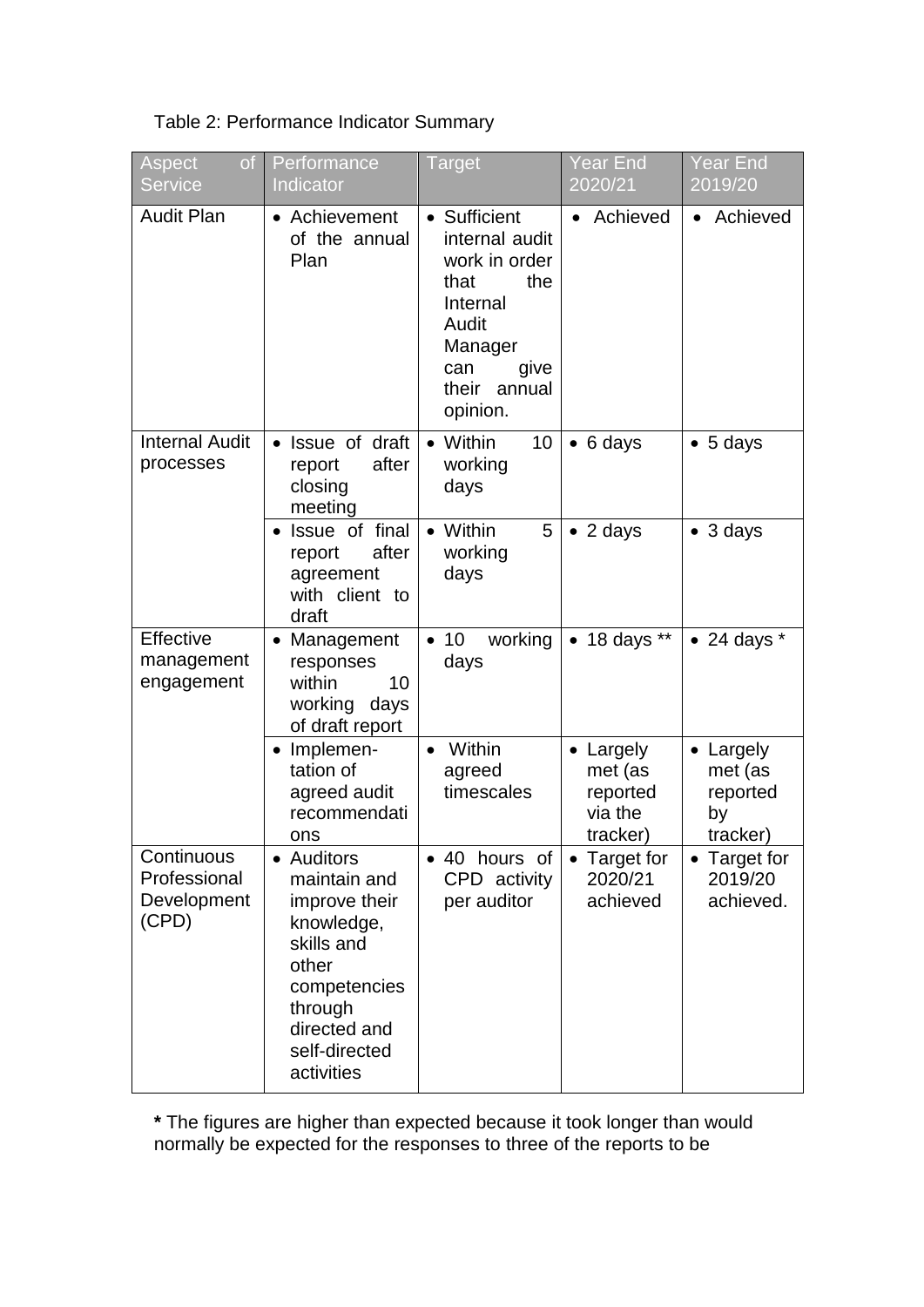| Table 2: Performance Indicator Summary |  |  |
|----------------------------------------|--|--|
|----------------------------------------|--|--|

| <b>Aspect</b><br>of<br><b>Service</b>              | Performance<br>Indicator                                                                                                                                   | <b>Target</b>                                                                                                                                | Year End<br>2020/21                                                | Year End<br>2019/20                                |
|----------------------------------------------------|------------------------------------------------------------------------------------------------------------------------------------------------------------|----------------------------------------------------------------------------------------------------------------------------------------------|--------------------------------------------------------------------|----------------------------------------------------|
| <b>Audit Plan</b>                                  | • Achievement<br>of the annual<br>Plan                                                                                                                     | • Sufficient<br>internal audit<br>work in order<br>the<br>that<br>Internal<br>Audit<br>Manager<br>can<br>give<br>their<br>annual<br>opinion. | Achieved                                                           | Achieved                                           |
| <b>Internal Audit</b><br>processes                 | • Issue of draft<br>after<br>report<br>closing<br>meeting                                                                                                  | Within<br>10<br>working<br>days                                                                                                              | $\bullet$ 6 days                                                   | $\bullet$ 5 days                                   |
|                                                    | • Issue of final<br>after<br>report<br>agreement<br>with client to<br>draft                                                                                | • Within<br>5<br>working<br>days                                                                                                             | $\bullet$ 2 days                                                   | $\bullet$ 3 days                                   |
| Effective<br>management<br>engagement              | • Management<br>responses<br>within<br>10<br>working days<br>of draft report                                                                               | working<br>$\bullet$ 10<br>days                                                                                                              | $\bullet$ 18 days **                                               | $\bullet$ 24 days $^*$                             |
|                                                    | Implemen-<br>$\bullet$<br>tation of<br>agreed audit<br>recommendati<br>ons                                                                                 | Within<br>$\bullet$<br>agreed<br>timescales                                                                                                  | Largely<br>$\bullet$<br>met (as<br>reported<br>via the<br>tracker) | • Largely<br>met (as<br>reported<br>by<br>tracker) |
| Continuous<br>Professional<br>Development<br>(CPD) | • Auditors<br>maintain and<br>improve their<br>knowledge,<br>skills and<br>other<br>competencies<br>through<br>directed and<br>self-directed<br>activities | 40 hours of<br>CPD activity<br>per auditor                                                                                                   | Target for<br>2020/21<br>achieved                                  | <b>Target for</b><br>2019/20<br>achieved.          |

**\*** The figures are higher than expected because it took longer than would normally be expected for the responses to three of the reports to be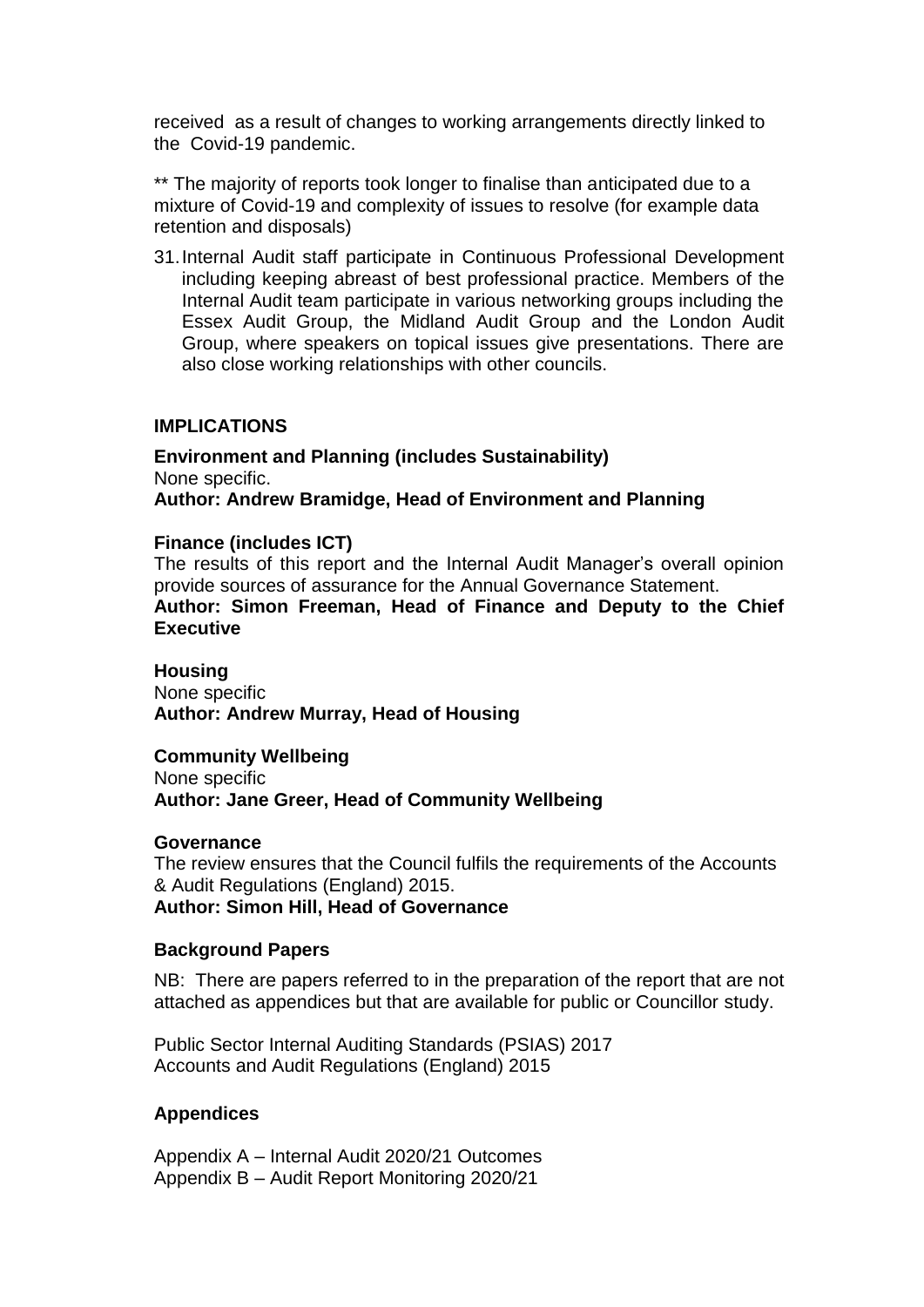received as a result of changes to working arrangements directly linked to the Covid-19 pandemic.

\*\* The majority of reports took longer to finalise than anticipated due to a mixture of Covid-19 and complexity of issues to resolve (for example data retention and disposals)

31.Internal Audit staff participate in Continuous Professional Development including keeping abreast of best professional practice. Members of the Internal Audit team participate in various networking groups including the Essex Audit Group, the Midland Audit Group and the London Audit Group, where speakers on topical issues give presentations. There are also close working relationships with other councils.

## **IMPLICATIONS**

**Environment and Planning (includes Sustainability)** None specific. **Author: Andrew Bramidge, Head of Environment and Planning**

## **Finance (includes ICT)**

The results of this report and the Internal Audit Manager's overall opinion provide sources of assurance for the Annual Governance Statement. **Author: Simon Freeman, Head of Finance and Deputy to the Chief Executive** 

**Housing** None specific **Author: Andrew Murray, Head of Housing**

**Community Wellbeing** None specific **Author: Jane Greer, Head of Community Wellbeing**

#### **Governance**

The review ensures that the Council fulfils the requirements of the Accounts & Audit Regulations (England) 2015. **Author: Simon Hill, Head of Governance**

#### **Background Papers**

NB: There are papers referred to in the preparation of the report that are not attached as appendices but that are available for public or Councillor study.

Public Sector Internal Auditing Standards (PSIAS) 2017 Accounts and Audit Regulations (England) 2015

## **Appendices**

Appendix A – Internal Audit 2020/21 Outcomes Appendix B – Audit Report Monitoring 2020/21